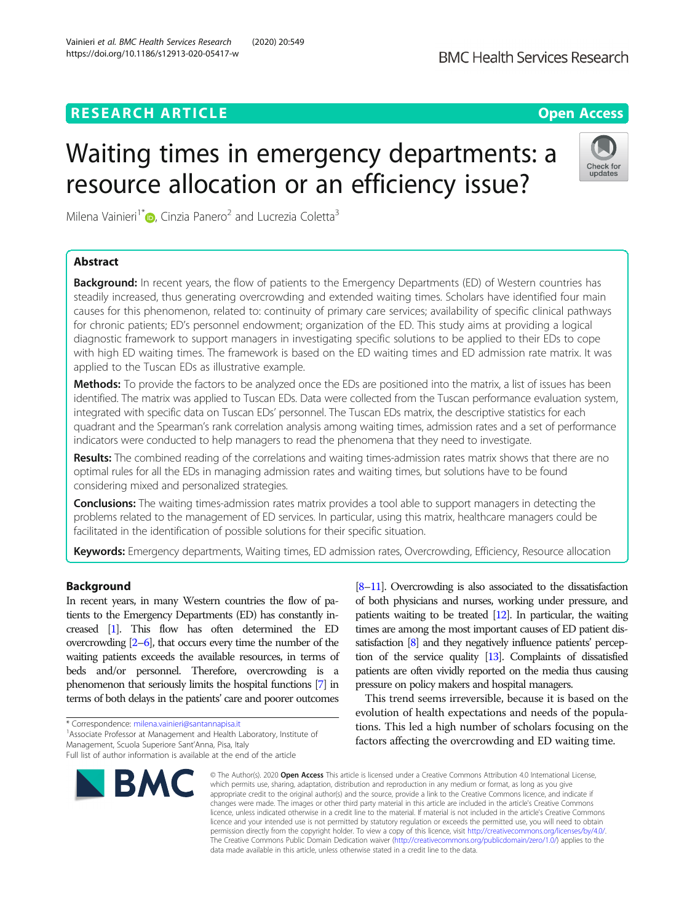## **RESEARCH ARTICLE Example 2014 12:30 The Contract of Contract ACCESS**

# Waiting times in emergency departments: a resource allocation or an efficiency issue?

Milena Vainieri<sup>1[\\*](http://orcid.org/0000-0002-0914-4487)</sup> $\bullet$ , Cinzia Panero<sup>2</sup> and Lucrezia Coletta<sup>3</sup>

## Abstract

**Background:** In recent years, the flow of patients to the Emergency Departments (ED) of Western countries has steadily increased, thus generating overcrowding and extended waiting times. Scholars have identified four main causes for this phenomenon, related to: continuity of primary care services; availability of specific clinical pathways for chronic patients; ED's personnel endowment; organization of the ED. This study aims at providing a logical diagnostic framework to support managers in investigating specific solutions to be applied to their EDs to cope with high ED waiting times. The framework is based on the ED waiting times and ED admission rate matrix. It was applied to the Tuscan EDs as illustrative example.

Methods: To provide the factors to be analyzed once the EDs are positioned into the matrix, a list of issues has been identified. The matrix was applied to Tuscan EDs. Data were collected from the Tuscan performance evaluation system, integrated with specific data on Tuscan EDs' personnel. The Tuscan EDs matrix, the descriptive statistics for each quadrant and the Spearman's rank correlation analysis among waiting times, admission rates and a set of performance indicators were conducted to help managers to read the phenomena that they need to investigate.

Results: The combined reading of the correlations and waiting times-admission rates matrix shows that there are no optimal rules for all the EDs in managing admission rates and waiting times, but solutions have to be found considering mixed and personalized strategies.

Conclusions: The waiting times-admission rates matrix provides a tool able to support managers in detecting the problems related to the management of ED services. In particular, using this matrix, healthcare managers could be facilitated in the identification of possible solutions for their specific situation.

Keywords: Emergency departments, Waiting times, ED admission rates, Overcrowding, Efficiency, Resource allocation

## **Background**

In recent years, in many Western countries the flow of patients to the Emergency Departments (ED) has constantly increased [\[1](#page-8-0)]. This flow has often determined the ED overcrowding [\[2](#page-8-0)–[6\]](#page-8-0), that occurs every time the number of the waiting patients exceeds the available resources, in terms of beds and/or personnel. Therefore, overcrowding is a phenomenon that seriously limits the hospital functions [\[7](#page-8-0)] in terms of both delays in the patients' care and poorer outcomes

\* Correspondence: [milena.vainieri@santannapisa.it](mailto:milena.vainieri@santannapisa.it) <sup>1</sup>

Management, Scuola Superiore Sant'Anna, Pisa, Italy

patients are often vividly reported on the media thus causing pressure on policy makers and hospital managers. This trend seems irreversible, because it is based on the evolution of health expectations and needs of the populations. This led a high number of scholars focusing on the factors affecting the overcrowding and ED waiting time.

[[8](#page-8-0)–[11\]](#page-8-0). Overcrowding is also associated to the dissatisfaction of both physicians and nurses, working under pressure, and patients waiting to be treated [\[12](#page-8-0)]. In particular, the waiting times are among the most important causes of ED patient dis-

© The Author(s), 2020 **Open Access** This article is licensed under a Creative Commons Attribution 4.0 International License, which permits use, sharing, adaptation, distribution and reproduction in any medium or format, as long as you give appropriate credit to the original author(s) and the source, provide a link to the Creative Commons licence, and indicate if changes were made. The images or other third party material in this article are included in the article's Creative Commons licence, unless indicated otherwise in a credit line to the material. If material is not included in the article's Creative Commons licence and your intended use is not permitted by statutory regulation or exceeds the permitted use, you will need to obtain permission directly from the copyright holder. To view a copy of this licence, visit [http://creativecommons.org/licenses/by/4.0/.](http://creativecommons.org/licenses/by/4.0/) The Creative Commons Public Domain Dedication waiver [\(http://creativecommons.org/publicdomain/zero/1.0/](http://creativecommons.org/publicdomain/zero/1.0/)) applies to the data made available in this article, unless otherwise stated in a credit line to the data.

satisfaction [\[8](#page-8-0)] and they negatively influence patients' perception of the service quality [\[13](#page-9-0)]. Complaints of dissatisfied

**BMC Health Services Research** 



**BMC** 





Full list of author information is available at the end of the article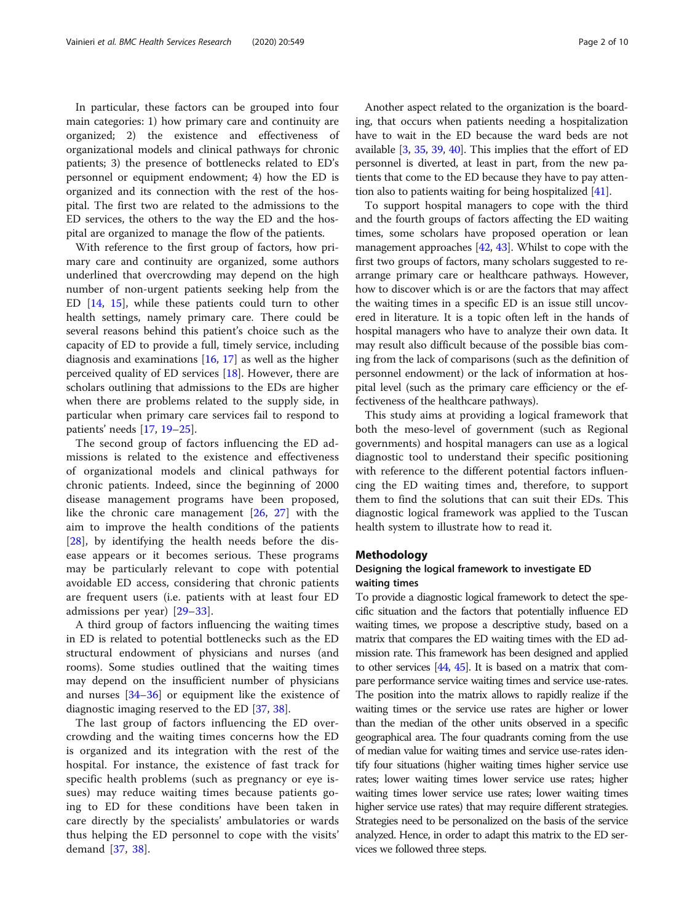In particular, these factors can be grouped into four main categories: 1) how primary care and continuity are organized; 2) the existence and effectiveness of organizational models and clinical pathways for chronic patients; 3) the presence of bottlenecks related to ED's personnel or equipment endowment; 4) how the ED is organized and its connection with the rest of the hospital. The first two are related to the admissions to the ED services, the others to the way the ED and the hospital are organized to manage the flow of the patients.

With reference to the first group of factors, how primary care and continuity are organized, some authors underlined that overcrowding may depend on the high number of non-urgent patients seeking help from the ED [[14](#page-9-0), [15\]](#page-9-0), while these patients could turn to other health settings, namely primary care. There could be several reasons behind this patient's choice such as the capacity of ED to provide a full, timely service, including diagnosis and examinations [[16,](#page-9-0) [17\]](#page-9-0) as well as the higher perceived quality of ED services [[18\]](#page-9-0). However, there are scholars outlining that admissions to the EDs are higher when there are problems related to the supply side, in particular when primary care services fail to respond to patients' needs [\[17,](#page-9-0) [19](#page-9-0)–[25\]](#page-9-0).

The second group of factors influencing the ED admissions is related to the existence and effectiveness of organizational models and clinical pathways for chronic patients. Indeed, since the beginning of 2000 disease management programs have been proposed, like the chronic care management [\[26](#page-9-0), [27](#page-9-0)] with the aim to improve the health conditions of the patients [[28\]](#page-9-0), by identifying the health needs before the disease appears or it becomes serious. These programs may be particularly relevant to cope with potential avoidable ED access, considering that chronic patients are frequent users (i.e. patients with at least four ED admissions per year) [\[29](#page-9-0)–[33\]](#page-9-0).

A third group of factors influencing the waiting times in ED is related to potential bottlenecks such as the ED structural endowment of physicians and nurses (and rooms). Some studies outlined that the waiting times may depend on the insufficient number of physicians and nurses [\[34](#page-9-0)–[36\]](#page-9-0) or equipment like the existence of diagnostic imaging reserved to the ED [\[37](#page-9-0), [38\]](#page-9-0).

The last group of factors influencing the ED overcrowding and the waiting times concerns how the ED is organized and its integration with the rest of the hospital. For instance, the existence of fast track for specific health problems (such as pregnancy or eye issues) may reduce waiting times because patients going to ED for these conditions have been taken in care directly by the specialists' ambulatories or wards thus helping the ED personnel to cope with the visits' demand [\[37](#page-9-0), [38](#page-9-0)].

Another aspect related to the organization is the boarding, that occurs when patients needing a hospitalization have to wait in the ED because the ward beds are not available [\[3,](#page-8-0) [35,](#page-9-0) [39,](#page-9-0) [40](#page-9-0)]. This implies that the effort of ED personnel is diverted, at least in part, from the new patients that come to the ED because they have to pay attention also to patients waiting for being hospitalized [\[41](#page-9-0)].

To support hospital managers to cope with the third and the fourth groups of factors affecting the ED waiting times, some scholars have proposed operation or lean management approaches [[42](#page-9-0), [43\]](#page-9-0). Whilst to cope with the first two groups of factors, many scholars suggested to rearrange primary care or healthcare pathways. However, how to discover which is or are the factors that may affect the waiting times in a specific ED is an issue still uncovered in literature. It is a topic often left in the hands of hospital managers who have to analyze their own data. It may result also difficult because of the possible bias coming from the lack of comparisons (such as the definition of personnel endowment) or the lack of information at hospital level (such as the primary care efficiency or the effectiveness of the healthcare pathways).

This study aims at providing a logical framework that both the meso-level of government (such as Regional governments) and hospital managers can use as a logical diagnostic tool to understand their specific positioning with reference to the different potential factors influencing the ED waiting times and, therefore, to support them to find the solutions that can suit their EDs. This diagnostic logical framework was applied to the Tuscan health system to illustrate how to read it.

#### Methodology

## Designing the logical framework to investigate ED waiting times

To provide a diagnostic logical framework to detect the specific situation and the factors that potentially influence ED waiting times, we propose a descriptive study, based on a matrix that compares the ED waiting times with the ED admission rate. This framework has been designed and applied to other services [\[44](#page-9-0), [45\]](#page-9-0). It is based on a matrix that compare performance service waiting times and service use-rates. The position into the matrix allows to rapidly realize if the waiting times or the service use rates are higher or lower than the median of the other units observed in a specific geographical area. The four quadrants coming from the use of median value for waiting times and service use-rates identify four situations (higher waiting times higher service use rates; lower waiting times lower service use rates; higher waiting times lower service use rates; lower waiting times higher service use rates) that may require different strategies. Strategies need to be personalized on the basis of the service analyzed. Hence, in order to adapt this matrix to the ED services we followed three steps.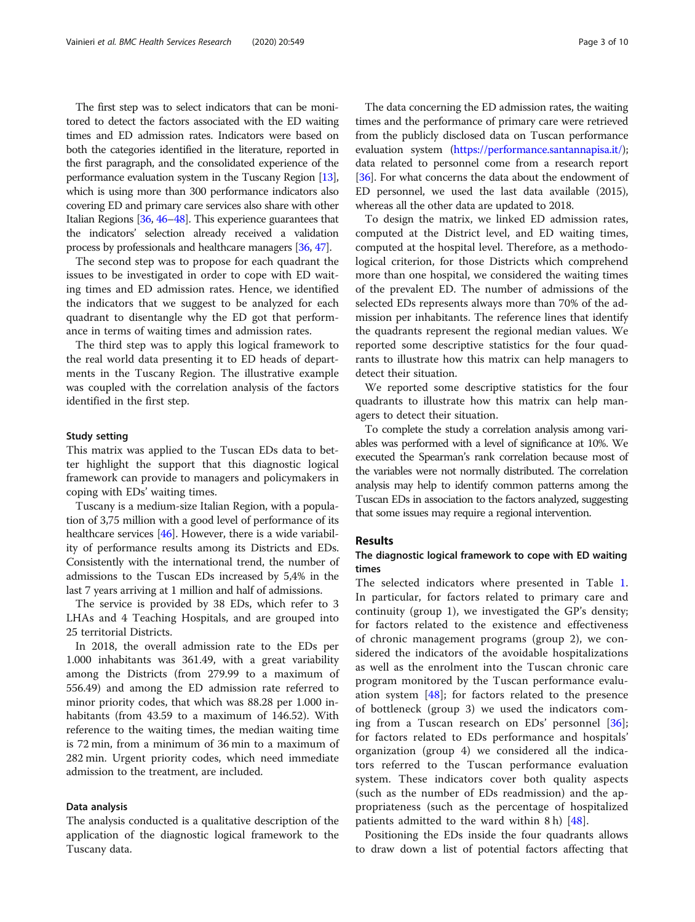The first step was to select indicators that can be monitored to detect the factors associated with the ED waiting times and ED admission rates. Indicators were based on both the categories identified in the literature, reported in the first paragraph, and the consolidated experience of the performance evaluation system in the Tuscany Region [\[13](#page-9-0)], which is using more than 300 performance indicators also covering ED and primary care services also share with other Italian Regions [\[36](#page-9-0), [46](#page-9-0)–[48\]](#page-9-0). This experience guarantees that the indicators' selection already received a validation process by professionals and healthcare managers [\[36](#page-9-0), [47](#page-9-0)].

The second step was to propose for each quadrant the issues to be investigated in order to cope with ED waiting times and ED admission rates. Hence, we identified the indicators that we suggest to be analyzed for each quadrant to disentangle why the ED got that performance in terms of waiting times and admission rates.

The third step was to apply this logical framework to the real world data presenting it to ED heads of departments in the Tuscany Region. The illustrative example was coupled with the correlation analysis of the factors identified in the first step.

#### Study setting

This matrix was applied to the Tuscan EDs data to better highlight the support that this diagnostic logical framework can provide to managers and policymakers in coping with EDs' waiting times.

Tuscany is a medium-size Italian Region, with a population of 3,75 million with a good level of performance of its healthcare services [[46](#page-9-0)]. However, there is a wide variability of performance results among its Districts and EDs. Consistently with the international trend, the number of admissions to the Tuscan EDs increased by 5,4% in the last 7 years arriving at 1 million and half of admissions.

The service is provided by 38 EDs, which refer to 3 LHAs and 4 Teaching Hospitals, and are grouped into 25 territorial Districts.

In 2018, the overall admission rate to the EDs per 1.000 inhabitants was 361.49, with a great variability among the Districts (from 279.99 to a maximum of 556.49) and among the ED admission rate referred to minor priority codes, that which was 88.28 per 1.000 inhabitants (from 43.59 to a maximum of 146.52). With reference to the waiting times, the median waiting time is 72 min, from a minimum of 36 min to a maximum of 282 min. Urgent priority codes, which need immediate admission to the treatment, are included.

#### Data analysis

The analysis conducted is a qualitative description of the application of the diagnostic logical framework to the Tuscany data.

The data concerning the ED admission rates, the waiting times and the performance of primary care were retrieved from the publicly disclosed data on Tuscan performance evaluation system [\(https://performance.santannapisa.it/](https://performance.santannapisa.it/)); data related to personnel come from a research report [[36](#page-9-0)]. For what concerns the data about the endowment of ED personnel, we used the last data available (2015), whereas all the other data are updated to 2018.

To design the matrix, we linked ED admission rates, computed at the District level, and ED waiting times, computed at the hospital level. Therefore, as a methodological criterion, for those Districts which comprehend more than one hospital, we considered the waiting times of the prevalent ED. The number of admissions of the selected EDs represents always more than 70% of the admission per inhabitants. The reference lines that identify the quadrants represent the regional median values. We reported some descriptive statistics for the four quadrants to illustrate how this matrix can help managers to detect their situation.

We reported some descriptive statistics for the four quadrants to illustrate how this matrix can help managers to detect their situation.

To complete the study a correlation analysis among variables was performed with a level of significance at 10%. We executed the Spearman's rank correlation because most of the variables were not normally distributed. The correlation analysis may help to identify common patterns among the Tuscan EDs in association to the factors analyzed, suggesting that some issues may require a regional intervention.

#### Results

## The diagnostic logical framework to cope with ED waiting times

The selected indicators where presented in Table [1](#page-3-0). In particular, for factors related to primary care and continuity (group 1), we investigated the GP's density; for factors related to the existence and effectiveness of chronic management programs (group 2), we considered the indicators of the avoidable hospitalizations as well as the enrolment into the Tuscan chronic care program monitored by the Tuscan performance evaluation system [\[48](#page-9-0)]; for factors related to the presence of bottleneck (group 3) we used the indicators coming from a Tuscan research on EDs' personnel [\[36](#page-9-0)]; for factors related to EDs performance and hospitals' organization (group 4) we considered all the indicators referred to the Tuscan performance evaluation system. These indicators cover both quality aspects (such as the number of EDs readmission) and the appropriateness (such as the percentage of hospitalized patients admitted to the ward within  $8 h$ ) [\[48](#page-9-0)].

Positioning the EDs inside the four quadrants allows to draw down a list of potential factors affecting that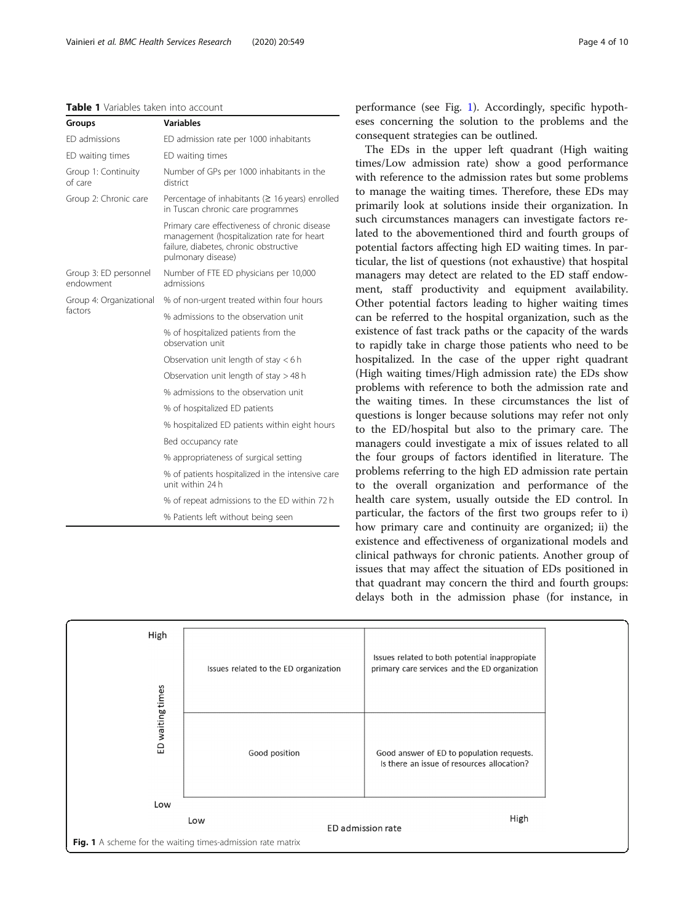#### <span id="page-3-0"></span>Table 1 Variables taken into account

| Groups                             | <b>Variables</b>                                                                                                                                            |
|------------------------------------|-------------------------------------------------------------------------------------------------------------------------------------------------------------|
| FD admissions                      | ED admission rate per 1000 inhabitants                                                                                                                      |
| ED waiting times                   | ED waiting times                                                                                                                                            |
| Group 1: Continuity<br>of care     | Number of GPs per 1000 inhabitants in the<br>district                                                                                                       |
| Group 2: Chronic care              | Percentage of inhabitants ( $\geq 16$ years) enrolled<br>in Tuscan chronic care programmes                                                                  |
|                                    | Primary care effectiveness of chronic disease<br>management (hospitalization rate for heart<br>failure, diabetes, chronic obstructive<br>pulmonary disease) |
| Group 3: ED personnel<br>endowment | Number of FTE ED physicians per 10,000<br>admissions                                                                                                        |
| Group 4: Organizational            | % of non-urgent treated within four hours                                                                                                                   |
| factors                            | % admissions to the observation unit                                                                                                                        |
|                                    | % of hospitalized patients from the<br>observation unit                                                                                                     |
|                                    | Observation unit length of stay $<$ 6 h                                                                                                                     |
|                                    | Observation unit length of stay $>$ 48 h                                                                                                                    |
|                                    | % admissions to the observation unit                                                                                                                        |
|                                    | % of hospitalized ED patients                                                                                                                               |
|                                    | % hospitalized ED patients within eight hours                                                                                                               |
|                                    | Bed occupancy rate                                                                                                                                          |
|                                    | % appropriateness of surgical setting                                                                                                                       |
|                                    | % of patients hospitalized in the intensive care<br>unit within 24 h                                                                                        |
|                                    | % of repeat admissions to the ED within 72 h                                                                                                                |
|                                    | % Patients left without being seen                                                                                                                          |

performance (see Fig. 1). Accordingly, specific hypotheses concerning the solution to the problems and the consequent strategies can be outlined.

The EDs in the upper left quadrant (High waiting times/Low admission rate) show a good performance with reference to the admission rates but some problems to manage the waiting times. Therefore, these EDs may primarily look at solutions inside their organization. In such circumstances managers can investigate factors related to the abovementioned third and fourth groups of potential factors affecting high ED waiting times. In particular, the list of questions (not exhaustive) that hospital managers may detect are related to the ED staff endowment, staff productivity and equipment availability. Other potential factors leading to higher waiting times can be referred to the hospital organization, such as the existence of fast track paths or the capacity of the wards to rapidly take in charge those patients who need to be hospitalized. In the case of the upper right quadrant (High waiting times/High admission rate) the EDs show problems with reference to both the admission rate and the waiting times. In these circumstances the list of questions is longer because solutions may refer not only to the ED/hospital but also to the primary care. The managers could investigate a mix of issues related to all the four groups of factors identified in literature. The problems referring to the high ED admission rate pertain to the overall organization and performance of the health care system, usually outside the ED control. In particular, the factors of the first two groups refer to i) how primary care and continuity are organized; ii) the existence and effectiveness of organizational models and clinical pathways for chronic patients. Another group of issues that may affect the situation of EDs positioned in that quadrant may concern the third and fourth groups: delays both in the admission phase (for instance, in

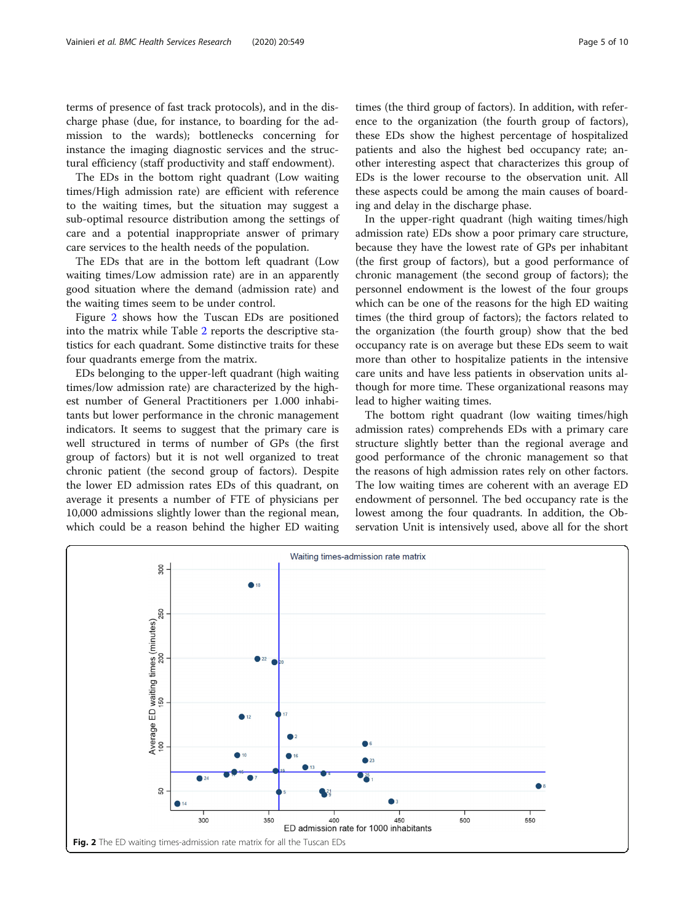terms of presence of fast track protocols), and in the discharge phase (due, for instance, to boarding for the admission to the wards); bottlenecks concerning for instance the imaging diagnostic services and the structural efficiency (staff productivity and staff endowment).

The EDs in the bottom right quadrant (Low waiting times/High admission rate) are efficient with reference to the waiting times, but the situation may suggest a sub-optimal resource distribution among the settings of care and a potential inappropriate answer of primary care services to the health needs of the population.

The EDs that are in the bottom left quadrant (Low waiting times/Low admission rate) are in an apparently good situation where the demand (admission rate) and the waiting times seem to be under control.

Figure 2 shows how the Tuscan EDs are positioned into the matrix while Table [2](#page-5-0) reports the descriptive statistics for each quadrant. Some distinctive traits for these four quadrants emerge from the matrix.

EDs belonging to the upper-left quadrant (high waiting times/low admission rate) are characterized by the highest number of General Practitioners per 1.000 inhabitants but lower performance in the chronic management indicators. It seems to suggest that the primary care is well structured in terms of number of GPs (the first group of factors) but it is not well organized to treat chronic patient (the second group of factors). Despite the lower ED admission rates EDs of this quadrant, on average it presents a number of FTE of physicians per 10,000 admissions slightly lower than the regional mean, which could be a reason behind the higher ED waiting

times (the third group of factors). In addition, with reference to the organization (the fourth group of factors), these EDs show the highest percentage of hospitalized patients and also the highest bed occupancy rate; another interesting aspect that characterizes this group of EDs is the lower recourse to the observation unit. All these aspects could be among the main causes of boarding and delay in the discharge phase.

In the upper-right quadrant (high waiting times/high admission rate) EDs show a poor primary care structure, because they have the lowest rate of GPs per inhabitant (the first group of factors), but a good performance of chronic management (the second group of factors); the personnel endowment is the lowest of the four groups which can be one of the reasons for the high ED waiting times (the third group of factors); the factors related to the organization (the fourth group) show that the bed occupancy rate is on average but these EDs seem to wait more than other to hospitalize patients in the intensive care units and have less patients in observation units although for more time. These organizational reasons may lead to higher waiting times.

The bottom right quadrant (low waiting times/high admission rates) comprehends EDs with a primary care structure slightly better than the regional average and good performance of the chronic management so that the reasons of high admission rates rely on other factors. The low waiting times are coherent with an average ED endowment of personnel. The bed occupancy rate is the lowest among the four quadrants. In addition, the Observation Unit is intensively used, above all for the short

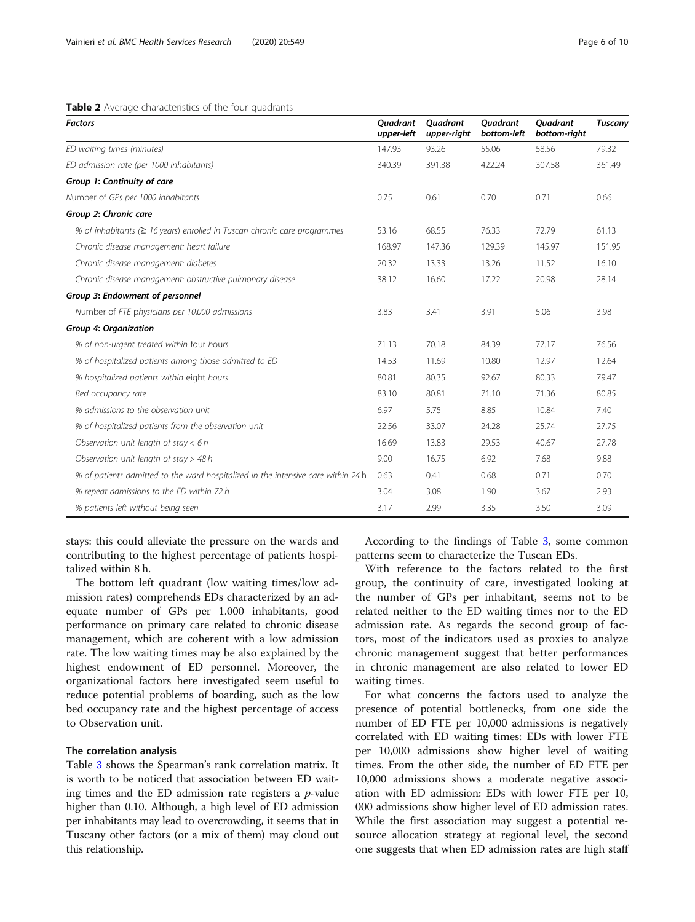#### <span id="page-5-0"></span>Table 2 Average characteristics of the four quadrants

| <b>Factors</b>                                                                    | Quadrant<br>upper-left | <b>Ouadrant</b><br>upper-right | Quadrant<br>bottom-left | <b>Ouadrant</b><br>bottom-right | <b>Tuscany</b> |
|-----------------------------------------------------------------------------------|------------------------|--------------------------------|-------------------------|---------------------------------|----------------|
| ED waiting times (minutes)                                                        | 147.93                 | 93.26                          | 55.06                   | 58.56                           | 79.32          |
| ED admission rate (per 1000 inhabitants)                                          | 340.39                 | 391.38                         | 422.24                  | 307.58                          | 361.49         |
| Group 1: Continuity of care                                                       |                        |                                |                         |                                 |                |
| Number of GPs per 1000 inhabitants                                                | 0.75                   | 0.61                           | 0.70                    | 0.71                            | 0.66           |
| Group 2: Chronic care                                                             |                        |                                |                         |                                 |                |
| % of inhabitants ( $\geq$ 16 years) enrolled in Tuscan chronic care programmes    | 53.16                  | 68.55                          | 76.33                   | 72.79                           | 61.13          |
| Chronic disease management: heart failure                                         | 168.97                 | 147.36                         | 129.39                  | 145.97                          | 151.95         |
| Chronic disease management: diabetes                                              | 20.32                  | 13.33                          | 13.26                   | 11.52                           | 16.10          |
| Chronic disease management: obstructive pulmonary disease                         | 38.12                  | 16.60                          | 17.22                   | 20.98                           | 28.14          |
| Group 3: Endowment of personnel                                                   |                        |                                |                         |                                 |                |
| Number of FTE physicians per 10,000 admissions                                    | 3.83                   | 3.41                           | 3.91                    | 5.06                            | 3.98           |
| Group 4: Organization                                                             |                        |                                |                         |                                 |                |
| % of non-urgent treated within four hours                                         | 71.13                  | 70.18                          | 84.39                   | 77.17                           | 76.56          |
| % of hospitalized patients among those admitted to ED                             | 14.53                  | 11.69                          | 10.80                   | 12.97                           | 12.64          |
| % hospitalized patients within eight hours                                        | 80.81                  | 80.35                          | 92.67                   | 80.33                           | 79.47          |
| Bed occupancy rate                                                                | 83.10                  | 80.81                          | 71.10                   | 71.36                           | 80.85          |
| % admissions to the observation unit                                              | 6.97                   | 5.75                           | 8.85                    | 10.84                           | 7.40           |
| % of hospitalized patients from the observation unit                              | 22.56                  | 33.07                          | 24.28                   | 25.74                           | 27.75          |
| Observation unit length of stay $< 6 h$                                           | 16.69                  | 13.83                          | 29.53                   | 40.67                           | 27.78          |
| Observation unit length of stay $>$ 48 h                                          | 9.00                   | 16.75                          | 6.92                    | 7.68                            | 9.88           |
| % of patients admitted to the ward hospitalized in the intensive care within 24 h | 0.63                   | 0.41                           | 0.68                    | 0.71                            | 0.70           |
| % repeat admissions to the ED within 72 h                                         | 3.04                   | 3.08                           | 1.90                    | 3.67                            | 2.93           |
| % patients left without being seen                                                | 3.17                   | 2.99                           | 3.35                    | 3.50                            | 3.09           |

stays: this could alleviate the pressure on the wards and contributing to the highest percentage of patients hospitalized within 8 h.

The bottom left quadrant (low waiting times/low admission rates) comprehends EDs characterized by an adequate number of GPs per 1.000 inhabitants, good performance on primary care related to chronic disease management, which are coherent with a low admission rate. The low waiting times may be also explained by the highest endowment of ED personnel. Moreover, the organizational factors here investigated seem useful to reduce potential problems of boarding, such as the low bed occupancy rate and the highest percentage of access to Observation unit.

### The correlation analysis

Table [3](#page-6-0) shows the Spearman's rank correlation matrix. It is worth to be noticed that association between ED waiting times and the ED admission rate registers a  $p$ -value higher than 0.10. Although, a high level of ED admission per inhabitants may lead to overcrowding, it seems that in Tuscany other factors (or a mix of them) may cloud out this relationship.

According to the findings of Table [3](#page-6-0), some common patterns seem to characterize the Tuscan EDs.

With reference to the factors related to the first group, the continuity of care, investigated looking at the number of GPs per inhabitant, seems not to be related neither to the ED waiting times nor to the ED admission rate. As regards the second group of factors, most of the indicators used as proxies to analyze chronic management suggest that better performances in chronic management are also related to lower ED waiting times.

For what concerns the factors used to analyze the presence of potential bottlenecks, from one side the number of ED FTE per 10,000 admissions is negatively correlated with ED waiting times: EDs with lower FTE per 10,000 admissions show higher level of waiting times. From the other side, the number of ED FTE per 10,000 admissions shows a moderate negative association with ED admission: EDs with lower FTE per 10, 000 admissions show higher level of ED admission rates. While the first association may suggest a potential resource allocation strategy at regional level, the second one suggests that when ED admission rates are high staff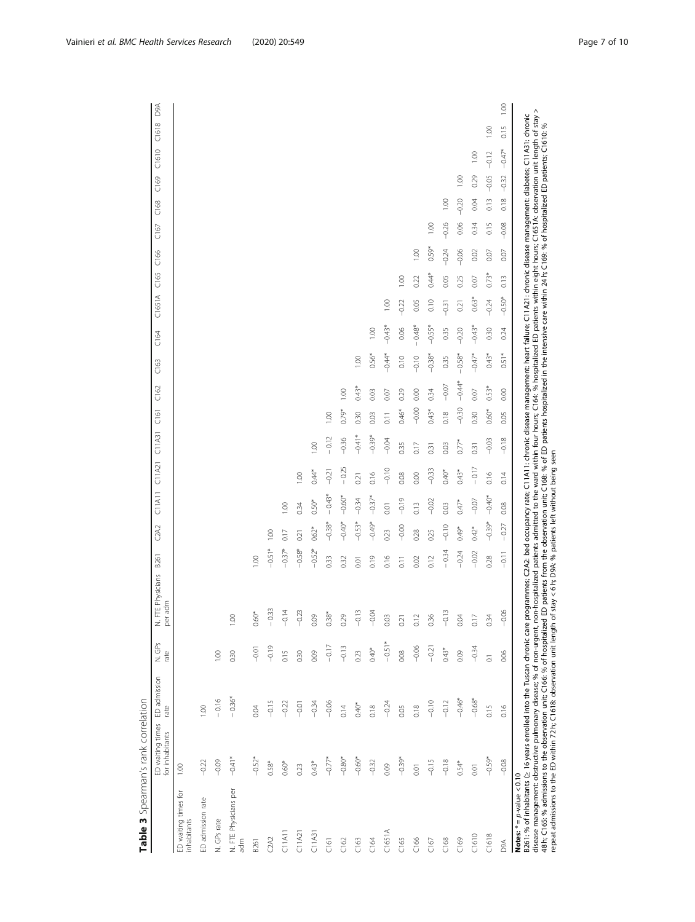<span id="page-6-0"></span>

| Table 3 Spearman's rank correlation                                                                                                                                                                                                                                                                                                              |                                     |                      |                            |                                                                                                                                                        |                    |          |          |         |          |                  |          |              |          |                    |         |                  |                  |         |          |                     |
|--------------------------------------------------------------------------------------------------------------------------------------------------------------------------------------------------------------------------------------------------------------------------------------------------------------------------------------------------|-------------------------------------|----------------------|----------------------------|--------------------------------------------------------------------------------------------------------------------------------------------------------|--------------------|----------|----------|---------|----------|------------------|----------|--------------|----------|--------------------|---------|------------------|------------------|---------|----------|---------------------|
|                                                                                                                                                                                                                                                                                                                                                  | ED waiting times<br>for inhabitants | ED admission<br>rate | N. GP <sub>S</sub><br>rate | FTE Physicians<br>per adm<br>Ż                                                                                                                         | B <sub>261</sub>   | C2A2     | C11A11   | C11A21  | C11A31   | C161             | C162     | C164<br>C163 |          | C165<br>C1651A     | C166    | C <sub>167</sub> | C168             | C169    | C1610    | <b>AGO</b><br>C1618 |
| ED waiting times for<br>inhabitants                                                                                                                                                                                                                                                                                                              | 1.00                                |                      |                            |                                                                                                                                                        |                    |          |          |         |          |                  |          |              |          |                    |         |                  |                  |         |          |                     |
| ED admission rate                                                                                                                                                                                                                                                                                                                                | $-0.22$                             | 1.00                 |                            |                                                                                                                                                        |                    |          |          |         |          |                  |          |              |          |                    |         |                  |                  |         |          |                     |
| N. GPs rate                                                                                                                                                                                                                                                                                                                                      | $-0.09$                             | $-0.16$              | 1.00                       |                                                                                                                                                        |                    |          |          |         |          |                  |          |              |          |                    |         |                  |                  |         |          |                     |
| N. FTE Physicians per<br>adm                                                                                                                                                                                                                                                                                                                     | $-0.41*$                            | $-0.36*$             | 0.30                       | 1.00                                                                                                                                                   |                    |          |          |         |          |                  |          |              |          |                    |         |                  |                  |         |          |                     |
| <b>B261</b>                                                                                                                                                                                                                                                                                                                                      | $-0.52*$                            | 0.04                 | $-0.01$                    | $0.60*$                                                                                                                                                | 1.00               |          |          |         |          |                  |          |              |          |                    |         |                  |                  |         |          |                     |
| CA <sub>2</sub>                                                                                                                                                                                                                                                                                                                                  | $0.58*$                             | $-0.15$              | $-0.19$                    | $-0.33$                                                                                                                                                | $-0.51*$           | 1.00     |          |         |          |                  |          |              |          |                    |         |                  |                  |         |          |                     |
| C11AT                                                                                                                                                                                                                                                                                                                                            | $0.60*$                             | $-0.22$              | 0.15                       | $-0.14$                                                                                                                                                | $-0.37*$           | 0.17     | 1.00     |         |          |                  |          |              |          |                    |         |                  |                  |         |          |                     |
| C11A21                                                                                                                                                                                                                                                                                                                                           | 0.23                                | $-0.01$              | 0.30                       | $-0.23$                                                                                                                                                | $-0.58*$           | 0.21     | 0.34     | 1.00    |          |                  |          |              |          |                    |         |                  |                  |         |          |                     |
| C11A31                                                                                                                                                                                                                                                                                                                                           | $0.43*$                             | $-0.34$              | 0.09                       | 0.09                                                                                                                                                   | $-0.52*$           | $0.62*$  | $0.50*$  | $0.44*$ | 1.00     |                  |          |              |          |                    |         |                  |                  |         |          |                     |
| C161                                                                                                                                                                                                                                                                                                                                             | $-0.77*$                            | $-0.06$              | $-0.17$                    | $0.38*$                                                                                                                                                | 0.33               | $-0.38*$ | $-0.43*$ | $-0.21$ | $-0.12$  | 1.00             |          |              |          |                    |         |                  |                  |         |          |                     |
| C162                                                                                                                                                                                                                                                                                                                                             | $-0.80*$                            | 0.14                 | $-0.13$                    | 0.29                                                                                                                                                   | 0.32               | $-0.40*$ | $-0.60*$ | $-0.25$ | $-0.36$  | $0.79*$          | 1.00     |              |          |                    |         |                  |                  |         |          |                     |
| C163                                                                                                                                                                                                                                                                                                                                             | $-0.60*$                            | $0.40*$              | 0.23                       | $-0.13$                                                                                                                                                | 0.01               | $-0.53*$ | $-0.34$  | 0.21    | $-0.41*$ | 0.30             | $0.43*$  | 1.00         |          |                    |         |                  |                  |         |          |                     |
| C164                                                                                                                                                                                                                                                                                                                                             | $-0.32$                             | 0.18                 | $0.40*$                    | $-0.04$                                                                                                                                                | 0.19               | $-0.49*$ | $-0.37*$ | 0.16    | $-0.39*$ | 0.03             | 0.03     | $0.56*$      | 1.00     |                    |         |                  |                  |         |          |                     |
| C1651A                                                                                                                                                                                                                                                                                                                                           | 0.09                                | $-0.24$              | $-0.51*$                   | 0.03                                                                                                                                                   | 0.16               | 0.23     | 0.01     | $-0.10$ | $-0.04$  | $\overline{0}$ . | 0.07     | $-0.44*$     | $-0.43*$ | 1.00               |         |                  |                  |         |          |                     |
| C165                                                                                                                                                                                                                                                                                                                                             | $-0.39*$                            | 0.05                 | 0.08                       | 0.21                                                                                                                                                   | $\overline{0}$ .11 | $-0.00$  | $-0.19$  | 0.08    | 0.35     | $0.46*$          | 0.29     | 0.10         | 0.06     | 1,00<br>$-0.22$    |         |                  |                  |         |          |                     |
| C166                                                                                                                                                                                                                                                                                                                                             | 0.01                                | 0.18                 | $-0.06$                    | 0.12                                                                                                                                                   | 0.02               | 0.28     | 0.13     | 0.00    | 0.17     | $-0.00$          | 0.00     | $-0.10$      | $-0.48*$ | 0.22<br>0.05       | 1.00    |                  |                  |         |          |                     |
| C167                                                                                                                                                                                                                                                                                                                                             | $-0.15$                             | $-0.10$              | $-0.21$                    | 0.36                                                                                                                                                   | 0.12               | 0.25     | $-0.02$  | $-0.33$ | 0.31     | $0.43*$          | 0.34     | $-0.38*$     | $-0.55*$ | $0.44*$<br>0.10    | $0.59*$ | 1.00             |                  |         |          |                     |
| C168                                                                                                                                                                                                                                                                                                                                             | $-0.18$                             | $-0.12$              | $0.43*$                    | $-0.13$                                                                                                                                                | $-0.34$            | $-0.10$  | 0.03     | $0.40*$ | 0.03     | 0.18             | $-0.07$  | 0.35         | 0.35     | 0.05<br>$-0.31$    | $-0.24$ | $-0.26$          | $\overline{100}$ |         |          |                     |
| C169                                                                                                                                                                                                                                                                                                                                             | $0.54*$                             | $-0.46*$             | 0.09                       | 0.04                                                                                                                                                   | $-0.24$            | $0.49*$  | $0.47*$  | $0.43*$ | $0.77*$  | $-0.30$          | $-0.44*$ | $-0.58*$     | $-0.20$  | 0.25<br>0.21       | $-0.06$ | 0.06             | $-0.20$          | 0.00    |          |                     |
| C1610                                                                                                                                                                                                                                                                                                                                            | 0.01                                | $-0.68*$             | $-0.34$                    | $\overline{a}$                                                                                                                                         | $-0.02$            | $0.42*$  | $-0.07$  | $-0.17$ | 0.31     | 0.30             | 0.07     | $-0.47*$     | $-0.43*$ | 0.07<br>$0.63*$    | 0.02    | 0.34             | 0.04             | 0.29    | 1.00     |                     |
| C1618                                                                                                                                                                                                                                                                                                                                            | $-0.59*$                            | 0.15                 | $\overline{0}$ .           | 0.34                                                                                                                                                   | 0.28               | $-0.39*$ | $-0.40*$ | 0.16    | $-0.03$  | $0.60*$          | 0.53*    | $0.43*$      | 0.30     | $0.73*$<br>$-0.24$ | 0.07    | 0.15             | 0.13             | $-0.05$ | $-0.12$  | 1.00                |
| D9A                                                                                                                                                                                                                                                                                                                                              | $-0.08$                             | 0.16                 | 0.06                       | $-0.06$                                                                                                                                                | $-0.11$            | $-0.27$  | 0.08     | 0.14    | $-0.18$  | 0.05             | 0.00     | $0.51*$      | 0.24     | 0.13<br>$-0.50*$   | 0.07    | $-0.08$          | 0.18             | $-0.32$ | $-0.47*$ | 1.00<br>0.15        |
| disease management: obstructive pulmonary disease; % of non-urgent; non-hospitalized patients admitted to the ward within four s, C164: % hospitalized ED patients within eight hours; C1651A: observation unit length of stay<br>B261: % of inhabitants ( $\geq$ 16 years enrolled into the Tuscan chronic care<br>Notes: $* = p$ -value < 0.10 |                                     |                      |                            | programmes; C2A2: bed occupancy rate; C11A11: chronic disease management: heart failure; C11A21: chronic disease management: diabetes; C11A31: chronic |                    |          |          |         |          |                  |          |              |          |                    |         |                  |                  |         |          |                     |

<sup>48</sup> b, C165 % admissions to the observation unit; C166: % of hospitalized ED patients from the observation unit; C168: % of ED patients hospitalized in the intensive care within 24 h; C169: % of hospitalized ED patients; C1 repeat admissions to the ED within 72 h; C1618: observation unit length of stay < 6 h; D9A: % patients left without being seen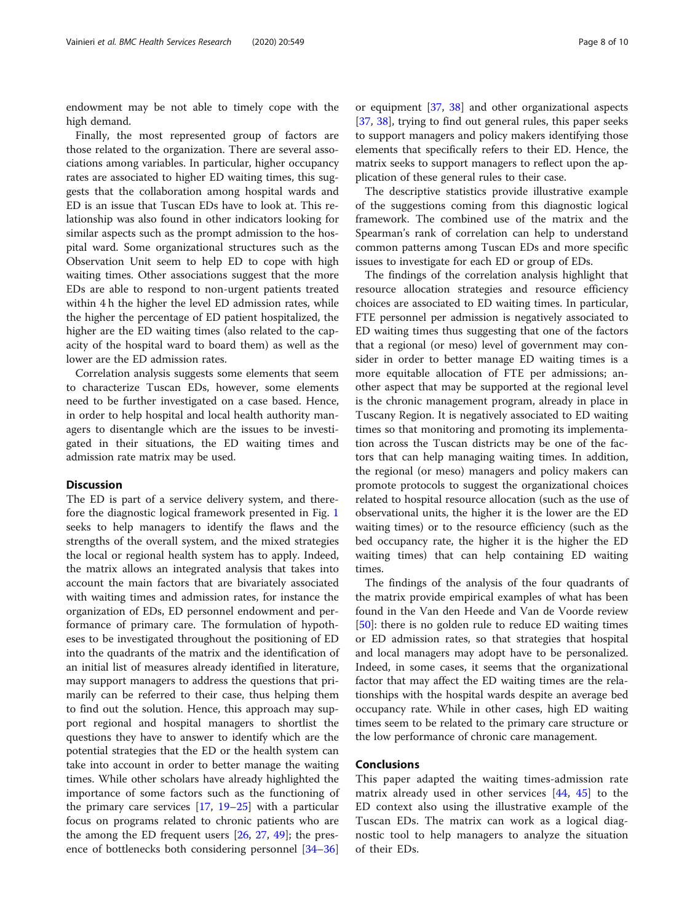endowment may be not able to timely cope with the high demand.

Finally, the most represented group of factors are those related to the organization. There are several associations among variables. In particular, higher occupancy rates are associated to higher ED waiting times, this suggests that the collaboration among hospital wards and ED is an issue that Tuscan EDs have to look at. This relationship was also found in other indicators looking for similar aspects such as the prompt admission to the hospital ward. Some organizational structures such as the Observation Unit seem to help ED to cope with high waiting times. Other associations suggest that the more EDs are able to respond to non-urgent patients treated within 4 h the higher the level ED admission rates, while the higher the percentage of ED patient hospitalized, the higher are the ED waiting times (also related to the capacity of the hospital ward to board them) as well as the lower are the ED admission rates.

Correlation analysis suggests some elements that seem to characterize Tuscan EDs, however, some elements need to be further investigated on a case based. Hence, in order to help hospital and local health authority managers to disentangle which are the issues to be investigated in their situations, the ED waiting times and admission rate matrix may be used.

#### **Discussion**

The ED is part of a service delivery system, and therefore the diagnostic logical framework presented in Fig. [1](#page-3-0) seeks to help managers to identify the flaws and the strengths of the overall system, and the mixed strategies the local or regional health system has to apply. Indeed, the matrix allows an integrated analysis that takes into account the main factors that are bivariately associated with waiting times and admission rates, for instance the organization of EDs, ED personnel endowment and performance of primary care. The formulation of hypotheses to be investigated throughout the positioning of ED into the quadrants of the matrix and the identification of an initial list of measures already identified in literature, may support managers to address the questions that primarily can be referred to their case, thus helping them to find out the solution. Hence, this approach may support regional and hospital managers to shortlist the questions they have to answer to identify which are the potential strategies that the ED or the health system can take into account in order to better manage the waiting times. While other scholars have already highlighted the importance of some factors such as the functioning of the primary care services  $[17, 19-25]$  $[17, 19-25]$  $[17, 19-25]$  $[17, 19-25]$  $[17, 19-25]$  $[17, 19-25]$  with a particular focus on programs related to chronic patients who are the among the ED frequent users [\[26](#page-9-0), [27,](#page-9-0) [49](#page-9-0)]; the presence of bottlenecks both considering personnel [[34](#page-9-0)–[36](#page-9-0)]

or equipment [[37,](#page-9-0) [38\]](#page-9-0) and other organizational aspects [[37,](#page-9-0) [38\]](#page-9-0), trying to find out general rules, this paper seeks to support managers and policy makers identifying those elements that specifically refers to their ED. Hence, the matrix seeks to support managers to reflect upon the application of these general rules to their case.

The descriptive statistics provide illustrative example of the suggestions coming from this diagnostic logical framework. The combined use of the matrix and the Spearman's rank of correlation can help to understand common patterns among Tuscan EDs and more specific issues to investigate for each ED or group of EDs.

The findings of the correlation analysis highlight that resource allocation strategies and resource efficiency choices are associated to ED waiting times. In particular, FTE personnel per admission is negatively associated to ED waiting times thus suggesting that one of the factors that a regional (or meso) level of government may consider in order to better manage ED waiting times is a more equitable allocation of FTE per admissions; another aspect that may be supported at the regional level is the chronic management program, already in place in Tuscany Region. It is negatively associated to ED waiting times so that monitoring and promoting its implementation across the Tuscan districts may be one of the factors that can help managing waiting times. In addition, the regional (or meso) managers and policy makers can promote protocols to suggest the organizational choices related to hospital resource allocation (such as the use of observational units, the higher it is the lower are the ED waiting times) or to the resource efficiency (such as the bed occupancy rate, the higher it is the higher the ED waiting times) that can help containing ED waiting times.

The findings of the analysis of the four quadrants of the matrix provide empirical examples of what has been found in the Van den Heede and Van de Voorde review [[50\]](#page-9-0): there is no golden rule to reduce ED waiting times or ED admission rates, so that strategies that hospital and local managers may adopt have to be personalized. Indeed, in some cases, it seems that the organizational factor that may affect the ED waiting times are the relationships with the hospital wards despite an average bed occupancy rate. While in other cases, high ED waiting times seem to be related to the primary care structure or the low performance of chronic care management.

## Conclusions

This paper adapted the waiting times-admission rate matrix already used in other services  $[44, 45]$  $[44, 45]$  $[44, 45]$  $[44, 45]$  to the ED context also using the illustrative example of the Tuscan EDs. The matrix can work as a logical diagnostic tool to help managers to analyze the situation of their EDs.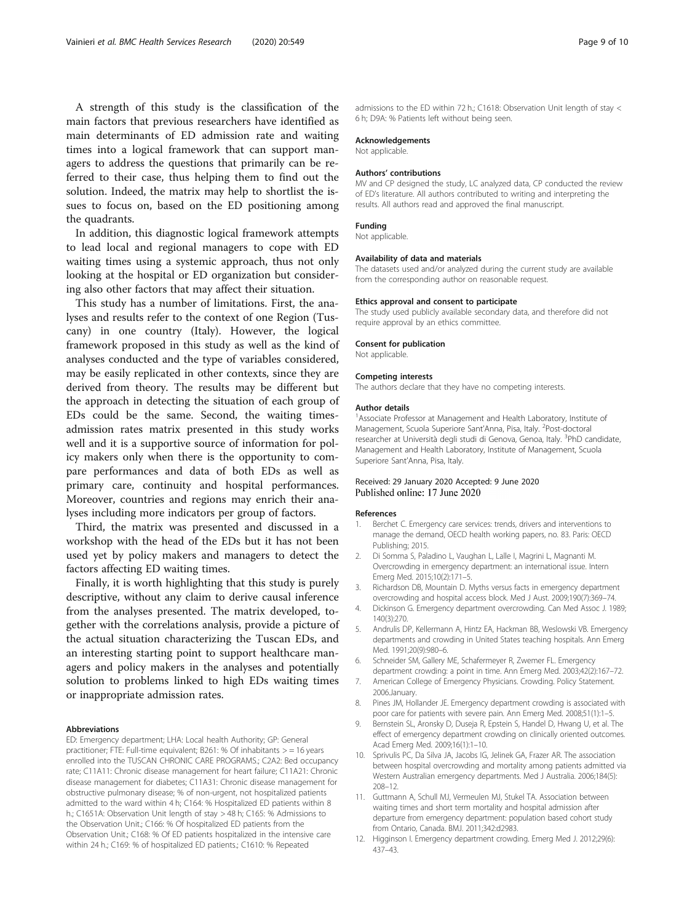<span id="page-8-0"></span>A strength of this study is the classification of the main factors that previous researchers have identified as main determinants of ED admission rate and waiting times into a logical framework that can support managers to address the questions that primarily can be referred to their case, thus helping them to find out the solution. Indeed, the matrix may help to shortlist the issues to focus on, based on the ED positioning among the quadrants.

In addition, this diagnostic logical framework attempts to lead local and regional managers to cope with ED waiting times using a systemic approach, thus not only looking at the hospital or ED organization but considering also other factors that may affect their situation.

This study has a number of limitations. First, the analyses and results refer to the context of one Region (Tuscany) in one country (Italy). However, the logical framework proposed in this study as well as the kind of analyses conducted and the type of variables considered, may be easily replicated in other contexts, since they are derived from theory. The results may be different but the approach in detecting the situation of each group of EDs could be the same. Second, the waiting timesadmission rates matrix presented in this study works well and it is a supportive source of information for policy makers only when there is the opportunity to compare performances and data of both EDs as well as primary care, continuity and hospital performances. Moreover, countries and regions may enrich their analyses including more indicators per group of factors.

Third, the matrix was presented and discussed in a workshop with the head of the EDs but it has not been used yet by policy makers and managers to detect the factors affecting ED waiting times.

Finally, it is worth highlighting that this study is purely descriptive, without any claim to derive causal inference from the analyses presented. The matrix developed, together with the correlations analysis, provide a picture of the actual situation characterizing the Tuscan EDs, and an interesting starting point to support healthcare managers and policy makers in the analyses and potentially solution to problems linked to high EDs waiting times or inappropriate admission rates.

#### Abbreviations

ED: Emergency department; LHA: Local health Authority; GP: General practitioner; FTE: Full-time equivalent; B261: % Of inhabitants  $>$  = 16 years enrolled into the TUSCAN CHRONIC CARE PROGRAMS.; C2A2: Bed occupancy rate; C11A11: Chronic disease management for heart failure; C11A21: Chronic disease management for diabetes; C11A31: Chronic disease management for obstructive pulmonary disease; % of non-urgent, not hospitalized patients admitted to the ward within 4 h; C164: % Hospitalized ED patients within 8 h.; C1651A: Observation Unit length of stay > 48 h; C165: % Admissions to the Observation Unit.; C166: % Of hospitalized ED patients from the Observation Unit.; C168: % Of ED patients hospitalized in the intensive care within 24 h.; C169: % of hospitalized ED patients.; C1610: % Repeated

admissions to the ED within 72 h.; C1618: Observation Unit length of stay < 6 h; D9A: % Patients left without being seen.

#### Acknowledgements

Not applicable.

#### Authors' contributions

MV and CP designed the study, LC analyzed data, CP conducted the review of ED's literature. All authors contributed to writing and interpreting the results. All authors read and approved the final manuscript.

#### Funding

Not applicable.

#### Availability of data and materials

The datasets used and/or analyzed during the current study are available from the corresponding author on reasonable request.

#### Ethics approval and consent to participate

The study used publicly available secondary data, and therefore did not require approval by an ethics committee.

#### Consent for publication

Not applicable.

#### Competing interests

The authors declare that they have no competing interests.

#### Author details

<sup>1</sup> Associate Professor at Management and Health Laboratory, Institute of Management, Scuola Superiore Sant'Anna, Pisa, Italy. <sup>2</sup>Post-doctoral researcher at Università degli studi di Genova, Genoa, Italy. <sup>3</sup>PhD candidate, Management and Health Laboratory, Institute of Management, Scuola Superiore Sant'Anna, Pisa, Italy.

# Received: 29 January 2020 Accepted: 9 June 2020<br>Published online: 17 June 2020

#### References

- 1. Berchet C. Emergency care services: trends, drivers and interventions to manage the demand, OECD health working papers, no. 83. Paris: OECD Publishing; 2015.
- 2. Di Somma S, Paladino L, Vaughan L, Lalle I, Magrini L, Magnanti M. Overcrowding in emergency department: an international issue. Intern Emerg Med. 2015;10(2):171–5.
- 3. Richardson DB, Mountain D. Myths versus facts in emergency department overcrowding and hospital access block. Med J Aust. 2009;190(7):369–74.
- 4. Dickinson G. Emergency department overcrowding. Can Med Assoc J. 1989; 140(3):270.
- 5. Andrulis DP, Kellermann A, Hintz EA, Hackman BB, Weslowski VB. Emergency departments and crowding in United States teaching hospitals. Ann Emerg Med. 1991;20(9):980–6.
- 6. Schneider SM, Gallery ME, Schafermeyer R, Zwemer FL. Emergency department crowding: a point in time. Ann Emerg Med. 2003;42(2):167–72.
- 7. American College of Emergency Physicians. Crowding. Policy Statement. 2006.January.
- 8. Pines JM, Hollander JE. Emergency department crowding is associated with poor care for patients with severe pain. Ann Emerg Med. 2008;51(1):1–5.
- 9. Bernstein SL, Aronsky D, Duseja R, Epstein S, Handel D, Hwang U, et al. The effect of emergency department crowding on clinically oriented outcomes. Acad Emerg Med. 2009;16(1):1–10.
- 10. Sprivulis PC, Da Silva JA, Jacobs IG, Jelinek GA, Frazer AR. The association between hospital overcrowding and mortality among patients admitted via Western Australian emergency departments. Med J Australia. 2006;184(5): 208–12.
- 11. Guttmann A, Schull MJ, Vermeulen MJ, Stukel TA. Association between waiting times and short term mortality and hospital admission after departure from emergency department: population based cohort study from Ontario, Canada. BMJ. 2011;342:d2983.
- 12. Higginson I. Emergency department crowding. Emerg Med J. 2012;29(6): 437–43.